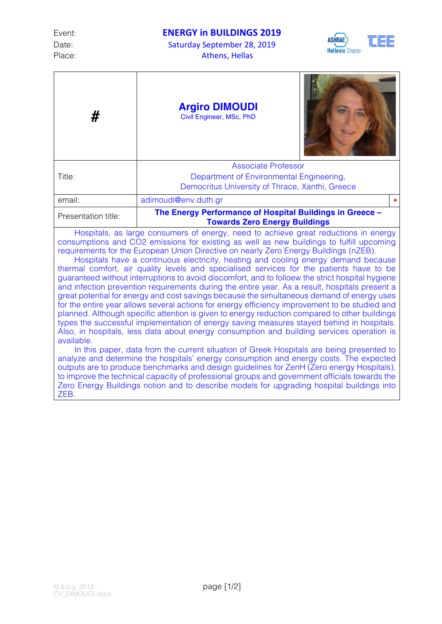Date: Saturday September 28, 2019 Place: Athens, Hellas



| #                                                                                                                                                                                                                                                                                                                                                                                                                                                                                                                                                                                                                                                                                                                                                                                                                                                                                                                                                                                                                                                                                                                                                                                                                                                                                                                                                                                                                                                                                                                                                                                                                                                                  | <b>Argiro DIMOUDI</b><br>Civil Engineer, MSc, PhD                                                |  |  |  |
|--------------------------------------------------------------------------------------------------------------------------------------------------------------------------------------------------------------------------------------------------------------------------------------------------------------------------------------------------------------------------------------------------------------------------------------------------------------------------------------------------------------------------------------------------------------------------------------------------------------------------------------------------------------------------------------------------------------------------------------------------------------------------------------------------------------------------------------------------------------------------------------------------------------------------------------------------------------------------------------------------------------------------------------------------------------------------------------------------------------------------------------------------------------------------------------------------------------------------------------------------------------------------------------------------------------------------------------------------------------------------------------------------------------------------------------------------------------------------------------------------------------------------------------------------------------------------------------------------------------------------------------------------------------------|--------------------------------------------------------------------------------------------------|--|--|--|
|                                                                                                                                                                                                                                                                                                                                                                                                                                                                                                                                                                                                                                                                                                                                                                                                                                                                                                                                                                                                                                                                                                                                                                                                                                                                                                                                                                                                                                                                                                                                                                                                                                                                    | <b>Associate Professor</b>                                                                       |  |  |  |
| Title:                                                                                                                                                                                                                                                                                                                                                                                                                                                                                                                                                                                                                                                                                                                                                                                                                                                                                                                                                                                                                                                                                                                                                                                                                                                                                                                                                                                                                                                                                                                                                                                                                                                             | Department of Environmental Engineering,                                                         |  |  |  |
|                                                                                                                                                                                                                                                                                                                                                                                                                                                                                                                                                                                                                                                                                                                                                                                                                                                                                                                                                                                                                                                                                                                                                                                                                                                                                                                                                                                                                                                                                                                                                                                                                                                                    | Democritus University of Thrace, Xanthi, Greece                                                  |  |  |  |
| email:                                                                                                                                                                                                                                                                                                                                                                                                                                                                                                                                                                                                                                                                                                                                                                                                                                                                                                                                                                                                                                                                                                                                                                                                                                                                                                                                                                                                                                                                                                                                                                                                                                                             | adimoudi@env.duth.gr                                                                             |  |  |  |
| Presentation title:                                                                                                                                                                                                                                                                                                                                                                                                                                                                                                                                                                                                                                                                                                                                                                                                                                                                                                                                                                                                                                                                                                                                                                                                                                                                                                                                                                                                                                                                                                                                                                                                                                                | The Energy Performance of Hospital Buildings in Greece -<br><b>Towards Zero Energy Buildings</b> |  |  |  |
| Hospitals, as large consumers of energy, need to achieve great reductions in energy<br>consumptions and CO2 emissions for existing as well as new buildings to fulfill upcoming<br>requirements for the European Union Directive on nearly Zero Energy Buildings (nZEB).<br>Hospitals have a continuous electricity, heating and cooling energy demand because<br>thermal comfort, air quality levels and specialised services for the patients have to be<br>guaranteed without interruptions to avoid discomfort, and to folloew the strict hospital hygiene<br>and infection prevention requirements during the entire year. As a result, hospitals present a<br>great potential for energy and cost savings because the simultaneous demand of energy uses<br>for the entire year allows several actions for energy efficiency improvement to be studied and<br>planned. Although specific attention is given to energy reduction compared to other buildings<br>types the successful implementation of energy saving measures stayed behind in hospitals.<br>Also, in hospitals, less data about energy consumption and building services operation is<br>available.<br>In this paper, data from the current situation of Greek Hospitals are being presented to<br>analyze and determine the hospitals' energy consumption and energy costs. The expected<br>outputs are to produce benchmarks and design guidelines for ZenH (Zero energy Hospitals),<br>to improve the technical capacity of professional groups and government officials towards the<br>Zero Energy Buildings notion and to describe models for upgrading hospital buildings into<br>ZEB. |                                                                                                  |  |  |  |